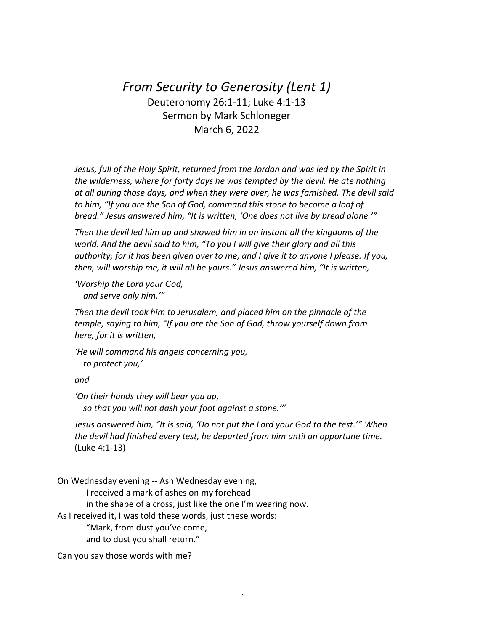## *From Security to Generosity (Lent 1)* Deuteronomy 26:1-11; Luke 4:1-13 Sermon by Mark Schloneger March 6, 2022

*Jesus, full of the Holy Spirit, returned from the Jordan and was led by the Spirit in the wilderness, where for forty days he was tempted by the devil. He ate nothing at all during those days, and when they were over, he was famished. The devil said to him, "If you are the Son of God, command this stone to become a loaf of bread." Jesus answered him, "It is written, 'One does not live by bread alone.'"*

*Then the devil led him up and showed him in an instant all the kingdoms of the world. And the devil said to him, "To you I will give their glory and all this authority; for it has been given over to me, and I give it to anyone I please. If you, then, will worship me, it will all be yours." Jesus answered him, "It is written,*

*'Worship the Lord your God, and serve only him.'"*

*Then the devil took him to Jerusalem, and placed him on the pinnacle of the temple, saying to him, "If you are the Son of God, throw yourself down from here, for it is written,*

*'He will command his angels concerning you, to protect you,'*

*and*

*'On their hands they will bear you up, so that you will not dash your foot against a stone.'"*

*Jesus answered him, "It is said, 'Do not put the Lord your God to the test.'" When the devil had finished every test, he departed from him until an opportune time.* (Luke 4:1-13)

On Wednesday evening -- Ash Wednesday evening, I received a mark of ashes on my forehead in the shape of a cross, just like the one I'm wearing now. As I received it, I was told these words, just these words: "Mark, from dust you've come, and to dust you shall return."

Can you say those words with me?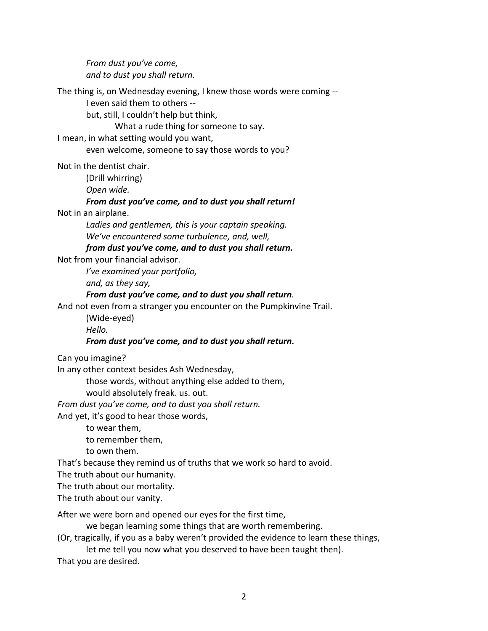*From dust you've come, and to dust you shall return.*

The thing is, on Wednesday evening, I knew those words were coming --

I even said them to others --

but, still, I couldn't help but think,

What a rude thing for someone to say.

I mean, in what setting would you want,

even welcome, someone to say those words to you?

Not in the dentist chair.

(Drill whirring)

*Open wide.*

## *From dust you've come, and to dust you shall return!*

Not in an airplane.

*Ladies and gentlemen, this is your captain speaking. We've encountered some turbulence, and, well,*

*from dust you've come, and to dust you shall return.*

Not from your financial advisor.

*I've examined your portfolio,*

*and, as they say,*

## *From dust you've come, and to dust you shall return.*

And not even from a stranger you encounter on the Pumpkinvine Trail.

(Wide-eyed)

*Hello.*

## *From dust you've come, and to dust you shall return.*

Can you imagine?

In any other context besides Ash Wednesday,

those words, without anything else added to them,

would absolutely freak. us. out.

*From dust you've come, and to dust you shall return.*

And yet, it's good to hear those words,

to wear them,

to remember them,

to own them.

That's because they remind us of truths that we work so hard to avoid.

The truth about our humanity.

The truth about our mortality.

The truth about our vanity.

After we were born and opened our eyes for the first time,

we began learning some things that are worth remembering.

(Or, tragically, if you as a baby weren't provided the evidence to learn these things, let me tell you now what you deserved to have been taught then).

That you are desired.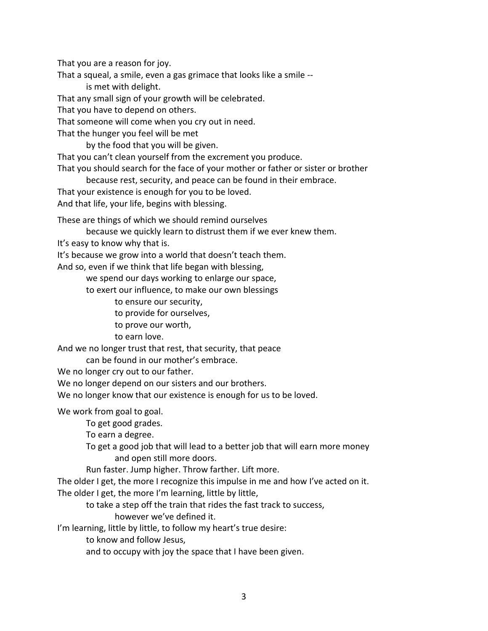That you are a reason for joy.

That a squeal, a smile, even a gas grimace that looks like a smile - is met with delight.

That any small sign of your growth will be celebrated.

That you have to depend on others.

That someone will come when you cry out in need.

That the hunger you feel will be met

by the food that you will be given.

That you can't clean yourself from the excrement you produce.

That you should search for the face of your mother or father or sister or brother

because rest, security, and peace can be found in their embrace.

That your existence is enough for you to be loved.

And that life, your life, begins with blessing.

These are things of which we should remind ourselves

because we quickly learn to distrust them if we ever knew them.

It's easy to know why that is.

It's because we grow into a world that doesn't teach them.

And so, even if we think that life began with blessing,

we spend our days working to enlarge our space,

to exert our influence, to make our own blessings

to ensure our security,

to provide for ourselves,

to prove our worth,

to earn love.

And we no longer trust that rest, that security, that peace

can be found in our mother's embrace.

We no longer cry out to our father.

We no longer depend on our sisters and our brothers.

We no longer know that our existence is enough for us to be loved.

We work from goal to goal.

To get good grades.

To earn a degree.

To get a good job that will lead to a better job that will earn more money and open still more doors.

Run faster. Jump higher. Throw farther. Lift more.

The older I get, the more I recognize this impulse in me and how I've acted on it. The older I get, the more I'm learning, little by little,

to take a step off the train that rides the fast track to success,

however we've defined it.

I'm learning, little by little, to follow my heart's true desire:

to know and follow Jesus,

and to occupy with joy the space that I have been given.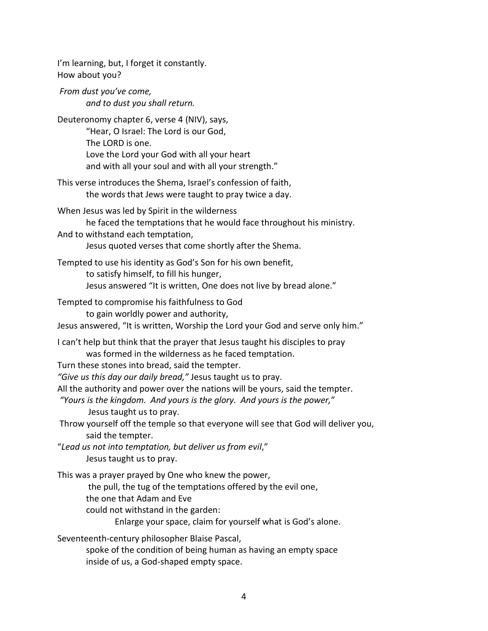I'm learning, but, I forget it constantly. How about you? *From dust you've come, and to dust you shall return.* Deuteronomy chapter 6, verse 4 (NIV), says, "Hear, O Israel: The Lord is our God, The LORD is one. Love the Lord your God with all your heart and with all your soul and with all your strength." This verse introduces the Shema, Israel's confession of faith, the words that Jews were taught to pray twice a day. When Jesus was led by Spirit in the wilderness he faced the temptations that he would face throughout his ministry. And to withstand each temptation, Jesus quoted verses that come shortly after the Shema. Tempted to use his identity as God's Son for his own benefit, to satisfy himself, to fill his hunger, Jesus answered "It is written, One does not live by bread alone." Tempted to compromise his faithfulness to God to gain worldly power and authority, Jesus answered, "It is written, Worship the Lord your God and serve only him." I can't help but think that the prayer that Jesus taught his disciples to pray was formed in the wilderness as he faced temptation. Turn these stones into bread, said the tempter. *"Give us this day our daily bread,"* Jesus taught us to pray. All the authority and power over the nations will be yours, said the tempter. *"Yours is the kingdom. And yours is the glory. And yours is the power,*" Jesus taught us to pray. Throw yourself off the temple so that everyone will see that God will deliver you, said the tempter. "*Lead us not into temptation, but deliver us from evil*," Jesus taught us to pray. This was a prayer prayed by One who knew the power, the pull, the tug of the temptations offered by the evil one, the one that Adam and Eve could not withstand in the garden: Enlarge your space, claim for yourself what is God's alone. Seventeenth-century philosopher Blaise Pascal, spoke of the condition of being human as having an empty space inside of us, a God-shaped empty space.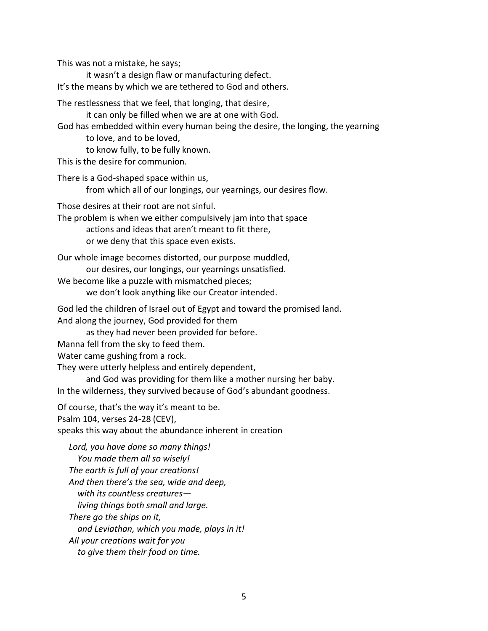This was not a mistake, he says;

it wasn't a design flaw or manufacturing defect.

It's the means by which we are tethered to God and others.

The restlessness that we feel, that longing, that desire,

it can only be filled when we are at one with God.

God has embedded within every human being the desire, the longing, the yearning to love, and to be loved,

to know fully, to be fully known.

This is the desire for communion.

There is a God-shaped space within us,

from which all of our longings, our yearnings, our desires flow.

Those desires at their root are not sinful.

The problem is when we either compulsively jam into that space

actions and ideas that aren't meant to fit there,

or we deny that this space even exists.

Our whole image becomes distorted, our purpose muddled,

our desires, our longings, our yearnings unsatisfied.

We become like a puzzle with mismatched pieces;

we don't look anything like our Creator intended.

God led the children of Israel out of Egypt and toward the promised land. And along the journey, God provided for them

as they had never been provided for before.

Manna fell from the sky to feed them.

Water came gushing from a rock.

They were utterly helpless and entirely dependent,

and God was providing for them like a mother nursing her baby. In the wilderness, they survived because of God's abundant goodness.

Of course, that's the way it's meant to be. Psalm 104, verses 24-28 (CEV), speaks this way about the abundance inherent in creation

*Lord, you have done so many things! You made them all so wisely! The earth is full of your creations! And then there's the sea, wide and deep, with its countless creatures living things both small and large. There go the ships on it, and Leviathan, which you made, plays in it! All your creations wait for you to give them their food on time.*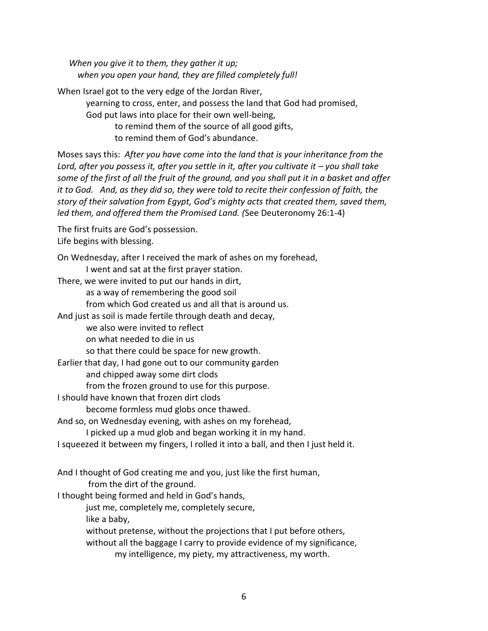*When you give it to them, they gather it up; when you open your hand, they are filled completely full!*

When Israel got to the very edge of the Jordan River, yearning to cross, enter, and possess the land that God had promised, God put laws into place for their own well-being, to remind them of the source of all good gifts, to remind them of God's abundance.

Moses says this: *After you have come into the land that is your inheritance from the Lord, after you possess it, after you settle in it, after you cultivate it – you shall take some of the first of all the fruit of the ground, and you shall put it in a basket and offer it to God. And, as they did so, they were told to recite their confession of faith, the story of their salvation from Egypt, God's mighty acts that created them, saved them, led them, and offered them the Promised Land. (*See Deuteronomy 26:1-4)

The first fruits are God's possession. Life begins with blessing.

On Wednesday, after I received the mark of ashes on my forehead, I went and sat at the first prayer station. There, we were invited to put our hands in dirt, as a way of remembering the good soil from which God created us and all that is around us. And just as soil is made fertile through death and decay, we also were invited to reflect on what needed to die in us so that there could be space for new growth. Earlier that day, I had gone out to our community garden and chipped away some dirt clods from the frozen ground to use for this purpose. I should have known that frozen dirt clods become formless mud globs once thawed. And so, on Wednesday evening, with ashes on my forehead, I picked up a mud glob and began working it in my hand. I squeezed it between my fingers, I rolled it into a ball, and then I just held it. And I thought of God creating me and you, just like the first human, from the dirt of the ground. I thought being formed and held in God's hands, just me, completely me, completely secure, like a baby, without pretense, without the projections that I put before others, without all the baggage I carry to provide evidence of my significance, my intelligence, my piety, my attractiveness, my worth.